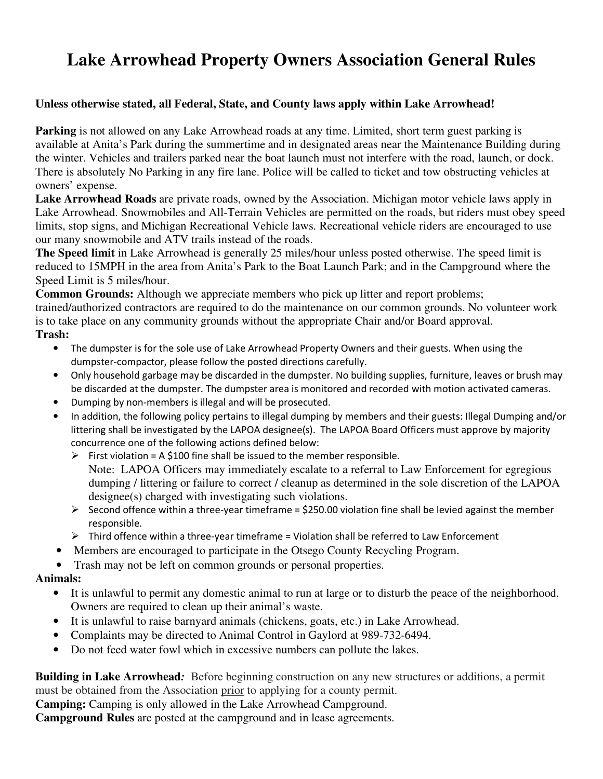# **Lake Arrowhead Property Owners Association General Rules**

#### **Unless otherwise stated, all Federal, State, and County laws apply within Lake Arrowhead!**

**Parking** is not allowed on any Lake Arrowhead roads at any time. Limited, short term guest parking is available at Anita's Park during the summertime and in designated areas near the Maintenance Building during the winter. Vehicles and trailers parked near the boat launch must not interfere with the road, launch, or dock. There is absolutely No Parking in any fire lane. Police will be called to ticket and tow obstructing vehicles at owners' expense.

**Lake Arrowhead Roads** are private roads, owned by the Association. Michigan motor vehicle laws apply in Lake Arrowhead. Snowmobiles and All-Terrain Vehicles are permitted on the roads, but riders must obey speed limits, stop signs, and Michigan Recreational Vehicle laws. Recreational vehicle riders are encouraged to use our many snowmobile and ATV trails instead of the roads.

**The Speed limit** in Lake Arrowhead is generally 25 miles/hour unless posted otherwise. The speed limit is reduced to 15MPH in the area from Anita's Park to the Boat Launch Park; and in the Campground where the Speed Limit is 5 miles/hour.

**Common Grounds:** Although we appreciate members who pick up litter and report problems; trained/authorized contractors are required to do the maintenance on our common grounds. No volunteer work is to take place on any community grounds without the appropriate Chair and/or Board approval.

#### **Trash:**

- The dumpster is for the sole use of Lake Arrowhead Property Owners and their guests. When using the dumpster-compactor, please follow the posted directions carefully.
- Only household garbage may be discarded in the dumpster. No building supplies, furniture, leaves or brush may be discarded at the dumpster. The dumpster area is monitored and recorded with motion activated cameras.
- Dumping by non-members is illegal and will be prosecuted.
- In addition, the following policy pertains to illegal dumping by members and their guests: Illegal Dumping and/or littering shall be investigated by the LAPOA designee(s). The LAPOA Board Officers must approve by majority concurrence one of the following actions defined below:
	- $\triangleright$  First violation = A \$100 fine shall be issued to the member responsible. Note: LAPOA Officers may immediately escalate to a referral to Law Enforcement for egregious dumping / littering or failure to correct / cleanup as determined in the sole discretion of the LAPOA designee(s) charged with investigating such violations.
	- $\triangleright$  Second offence within a three-year timeframe = \$250.00 violation fine shall be levied against the member responsible.
	- $\triangleright$  Third offence within a three-year timeframe = Violation shall be referred to Law Enforcement
- Members are encouraged to participate in the Otsego County Recycling Program.
- Trash may not be left on common grounds or personal properties.

### **Animals:**

- It is unlawful to permit any domestic animal to run at large or to disturb the peace of the neighborhood. Owners are required to clean up their animal's waste.
- It is unlawful to raise barnyard animals (chickens, goats, etc.) in Lake Arrowhead.
- Complaints may be directed to Animal Control in Gaylord at 989-732-6494.
- Do not feed water fowl which in excessive numbers can pollute the lakes.

**Building in Lake Arrowhead***:* Before beginning construction on any new structures or additions, a permit must be obtained from the Association prior to applying for a county permit.

**Camping:** Camping is only allowed in the Lake Arrowhead Campground.

**Campground Rules** are posted at the campground and in lease agreements.